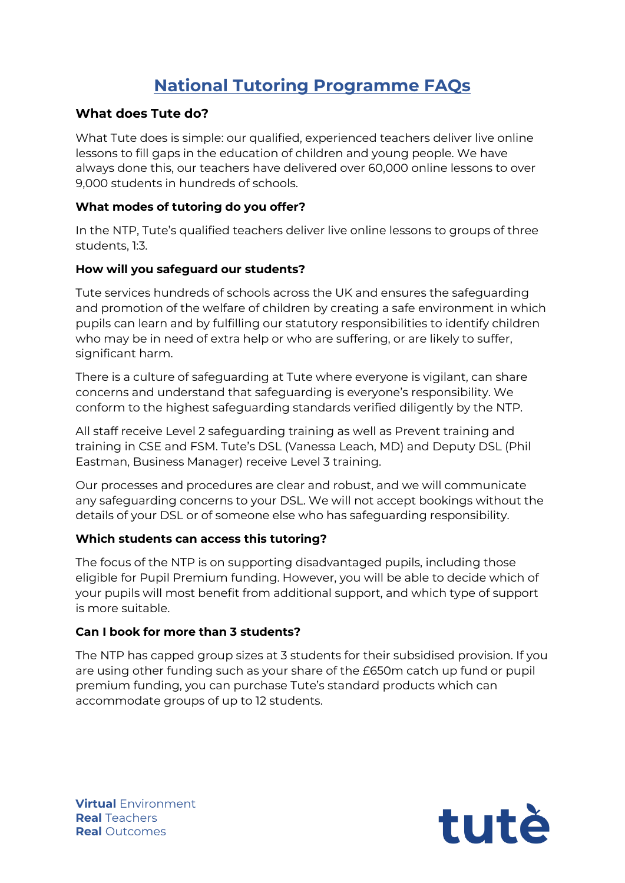# **National Tutoring Programme FAQs**

# **What does Tute do?**

What Tute does is simple: our qualified, experienced teachers deliver live online lessons to fill gaps in the education of children and young people. We have always done this, our teachers have delivered over 60,000 online lessons to over 9,000 students in hundreds of schools.

## **What modes of tutoring do you offer?**

In the NTP, Tute's qualified teachers deliver live online lessons to groups of three students, 1:3.

## **How will you safeguard our students?**

Tute services hundreds of schools across the UK and ensures the safeguarding and promotion of the welfare of children by creating a safe environment in which pupils can learn and by fulfilling our statutory responsibilities to identify children who may be in need of extra help or who are suffering, or are likely to suffer, significant harm.

There is a culture of safeguarding at Tute where everyone is vigilant, can share concerns and understand that safeguarding is everyone's responsibility. We conform to the highest safeguarding standards verified diligently by the NTP.

All staff receive Level 2 safeguarding training as well as Prevent training and training in CSE and FSM. Tute's DSL (Vanessa Leach, MD) and Deputy DSL (Phil Eastman, Business Manager) receive Level 3 training.

Our processes and procedures are clear and robust, and we will communicate any safeguarding concerns to your DSL. We will not accept bookings without the details of your DSL or of someone else who has safeguarding responsibility.

# **Which students can access this tutoring?**

The focus of the NTP is on supporting disadvantaged pupils, including those eligible for Pupil Premium funding. However, you will be able to decide which of your pupils will most benefit from additional support, and which type of support is more suitable.

# **Can I book for more than 3 students?**

The NTP has capped group sizes at 3 students for their subsidised provision. If you are using other funding such as your share of the £650m catch up fund or pupil premium funding, you can purchase Tute's standard products which can accommodate groups of up to 12 students.

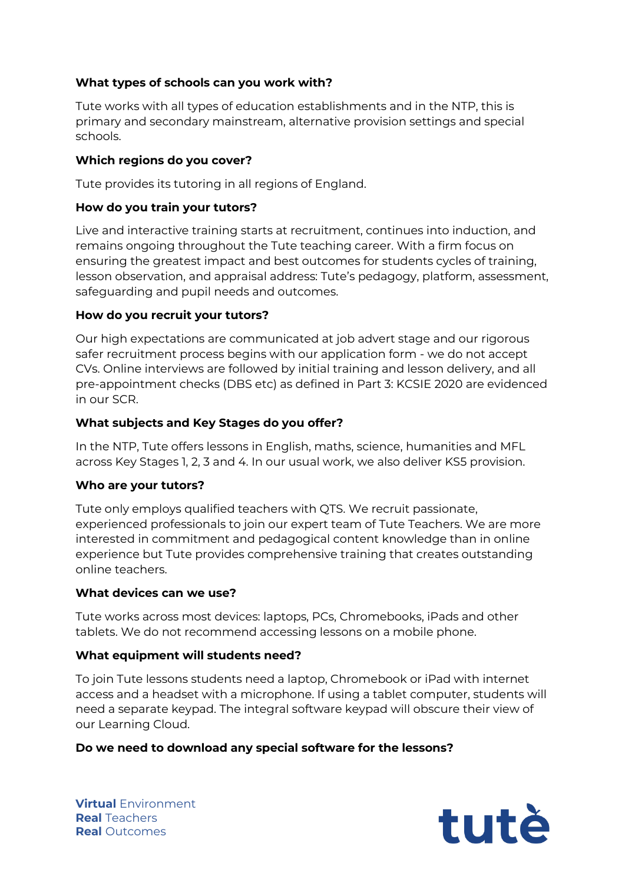## **What types of schools can you work with?**

Tute works with all types of education establishments and in the NTP, this is primary and secondary mainstream, alternative provision settings and special schools.

## **Which regions do you cover?**

Tute provides its tutoring in all regions of England.

## **How do you train your tutors?**

Live and interactive training starts at recruitment, continues into induction, and remains ongoing throughout the Tute teaching career. With a firm focus on ensuring the greatest impact and best outcomes for students cycles of training, lesson observation, and appraisal address: Tute's pedagogy, platform, assessment, safeguarding and pupil needs and outcomes.

## **How do you recruit your tutors?**

Our high expectations are communicated at job advert stage and our rigorous safer recruitment process begins with our application form - we do not accept CVs. Online interviews are followed by initial training and lesson delivery, and all pre-appointment checks (DBS etc) as defined in Part 3: KCSIE 2020 are evidenced in our SCR.

## **What subjects and Key Stages do you offer?**

In the NTP, Tute offers lessons in English, maths, science, humanities and MFL across Key Stages 1, 2, 3 and 4. In our usual work, we also deliver KS5 provision.

## **Who are your tutors?**

Tute only employs qualified teachers with QTS. We recruit passionate, experienced professionals to join our expert team of Tute Teachers. We are more interested in commitment and pedagogical content knowledge than in online experience but Tute provides comprehensive training that creates outstanding online teachers.

## **What devices can we use?**

Tute works across most devices: laptops, PCs, Chromebooks, iPads and other tablets. We do not recommend accessing lessons on a mobile phone.

## **What equipment will students need?**

To join Tute lessons students need a laptop, Chromebook or iPad with internet access and a headset with a microphone. If using a tablet computer, students will need a separate keypad. The integral software keypad will obscure their view of our Learning Cloud.

## **Do we need to download any special software for the lessons?**

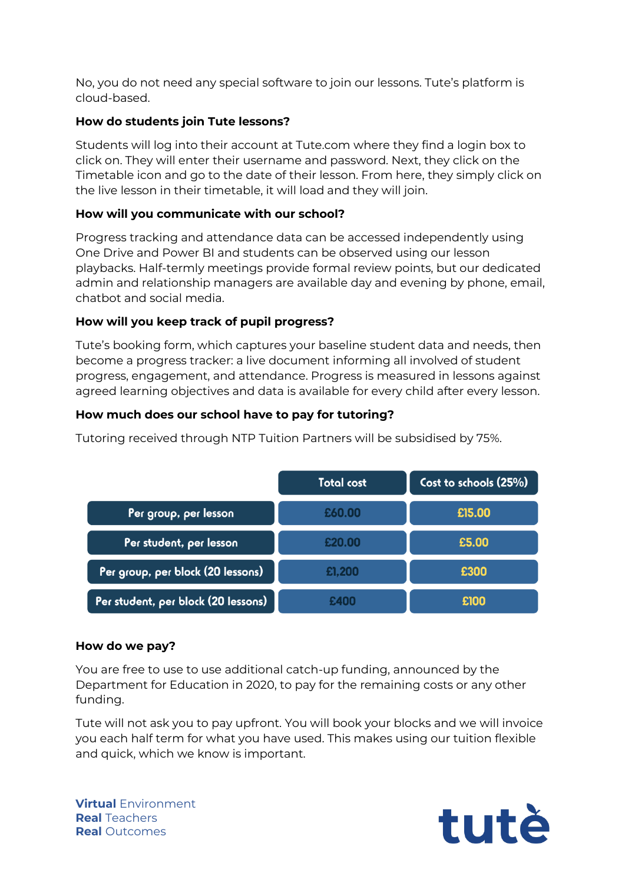No, you do not need any special software to join our lessons. Tute's platform is cloud-based.

# **How do students join Tute lessons?**

Students will log into their account at Tute.com where they find a login box to click on. They will enter their username and password. Next, they click on the Timetable icon and go to the date of their lesson. From here, they simply click on the live lesson in their timetable, it will load and they will join.

# **How will you communicate with our school?**

Progress tracking and attendance data can be accessed independently using One Drive and Power BI and students can be observed using our lesson playbacks. Half-termly meetings provide formal review points, but our dedicated admin and relationship managers are available day and evening by phone, email, chatbot and social media.

# **How will you keep track of pupil progress?**

Tute's booking form, which captures your baseline student data and needs, then become a progress tracker: a live document informing all involved of student progress, engagement, and attendance. Progress is measured in lessons against agreed learning objectives and data is available for every child after every lesson.

# **How much does our school have to pay for tutoring?**

|                                     | <b>Total cost</b> | Cost to schools (25%) |
|-------------------------------------|-------------------|-----------------------|
| Per group, per lesson               | £60.00            | £15.00                |
| Per student, per lesson             | £20.00            | £5.00                 |
| Per group, per block (20 lessons)   | £1,200            | £300                  |
| Per student, per block (20 lessons) |                   | £100                  |

Tutoring received through NTP Tuition Partners will be subsidised by 75%.

# **How do we pay?**

You are free to use to use additional catch-up funding, announced by the Department for Education in 2020, to pay for the remaining costs or any other funding.

Tute will not ask you to pay upfront. You will book your blocks and we will invoice you each half term for what you have used. This makes using our tuition flexible and quick, which we know is important.

**Virtual** Environment **Real** Teachers **Real** Outcomes

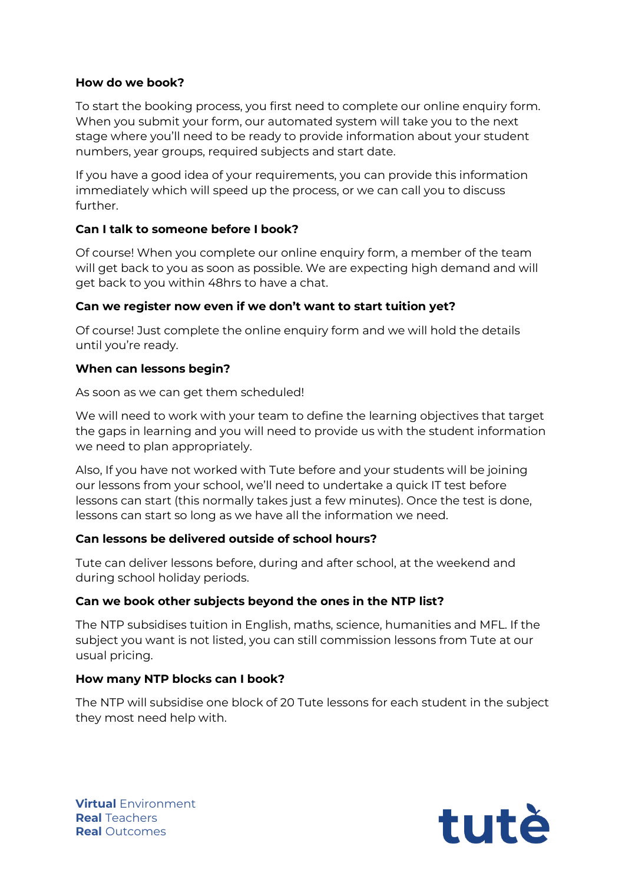## **How do we book?**

To start the booking process, you first need to complete our online enquiry form. When you submit your form, our automated system will take you to the next stage where you'll need to be ready to provide information about your student numbers, year groups, required subjects and start date.

If you have a good idea of your requirements, you can provide this information immediately which will speed up the process, or we can call you to discuss further.

## **Can I talk to someone before I book?**

Of course! When you complete our online enquiry form, a member of the team will get back to you as soon as possible. We are expecting high demand and will get back to you within 48hrs to have a chat.

## **Can we register now even if we don't want to start tuition yet?**

Of course! Just complete the online enquiry form and we will hold the details until you're ready.

## **When can lessons begin?**

As soon as we can get them scheduled!

We will need to work with your team to define the learning objectives that target the gaps in learning and you will need to provide us with the student information we need to plan appropriately.

Also, If you have not worked with Tute before and your students will be joining our lessons from your school, we'll need to undertake a quick IT test before lessons can start (this normally takes just a few minutes). Once the test is done, lessons can start so long as we have all the information we need.

# **Can lessons be delivered outside of school hours?**

Tute can deliver lessons before, during and after school, at the weekend and during school holiday periods.

# **Can we book other subjects beyond the ones in the NTP list?**

The NTP subsidises tuition in English, maths, science, humanities and MFL. If the subject you want is not listed, you can still commission lessons from Tute at our usual pricing.

# **How many NTP blocks can I book?**

The NTP will subsidise one block of 20 Tute lessons for each student in the subject they most need help with.